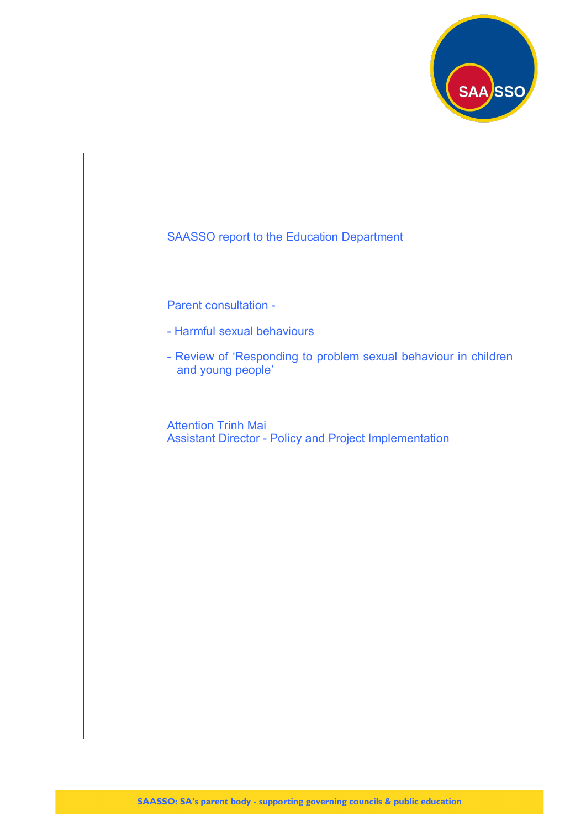

SAASSO report to the Education Department

Parent consultation -

- Harmful sexual behaviours
- Review of 'Responding to problem sexual behaviour in children and young people'

Attention Trinh Mai Assistant Director - Policy and Project Implementation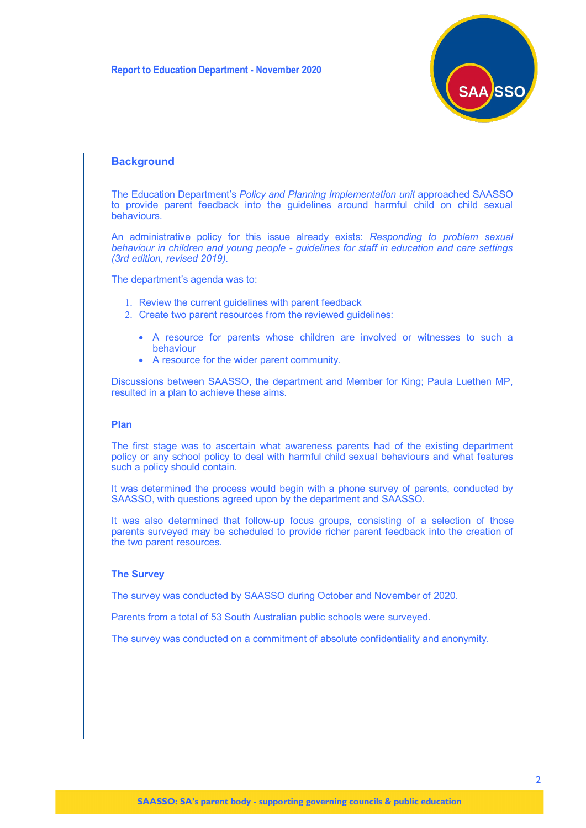

# **Background**

The Education Department's *Policy and Planning Implementation unit* approached SAASSO to provide parent feedback into the guidelines around harmful child on child sexual behaviours.

An administrative policy for this issue already exists: *Responding to problem sexual behaviour in children and young people - guidelines for staff in education and care settings (3rd edition, revised 2019).*

The department's agenda was to:

- 1. Review the current guidelines with parent feedback
- 2. Create two parent resources from the reviewed quidelines:
	- A resource for parents whose children are involved or witnesses to such a behaviour
	- A resource for the wider parent community.

Discussions between SAASSO, the department and Member for King; Paula Luethen MP, resulted in a plan to achieve these aims.

# **Plan**

The first stage was to ascertain what awareness parents had of the existing department policy or any school policy to deal with harmful child sexual behaviours and what features such a policy should contain.

It was determined the process would begin with a phone survey of parents, conducted by SAASSO, with questions agreed upon by the department and SAASSO.

It was also determined that follow-up focus groups, consisting of a selection of those parents surveyed may be scheduled to provide richer parent feedback into the creation of the two parent resources.

#### **The Survey**

The survey was conducted by SAASSO during October and November of 2020.

Parents from a total of 53 South Australian public schools were surveyed.

The survey was conducted on a commitment of absolute confidentiality and anonymity.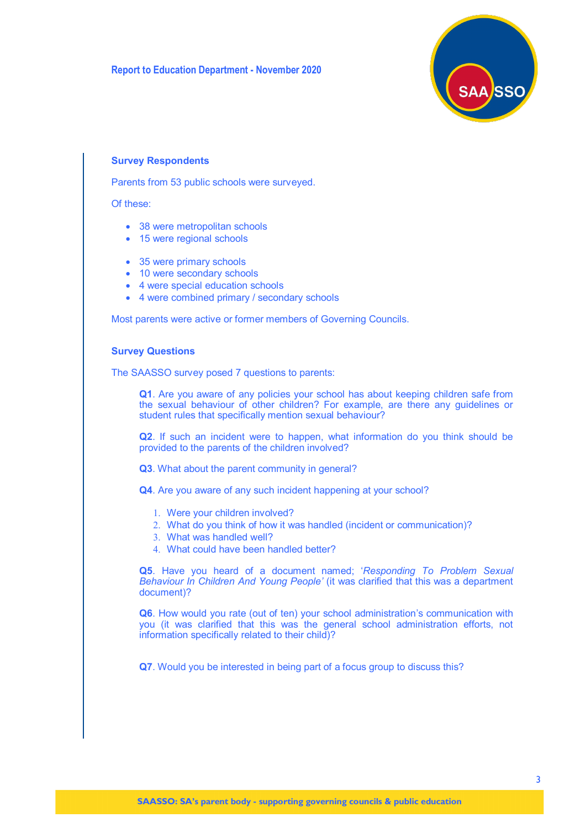

#### **Survey Respondents**

Parents from 53 public schools were surveyed.

Of these:

- 38 were metropolitan schools
- 15 were regional schools
- 35 were primary schools
- 10 were secondary schools
- 4 were special education schools
- 4 were combined primary / secondary schools

Most parents were active or former members of Governing Councils.

#### **Survey Questions**

The SAASSO survey posed 7 questions to parents:

**Q1**. Are you aware of any policies your school has about keeping children safe from the sexual behaviour of other children? For example, are there any guidelines or student rules that specifically mention sexual behaviour?

**Q2**. If such an incident were to happen, what information do you think should be provided to the parents of the children involved?

**Q3**. What about the parent community in general?

**Q4**. Are you aware of any such incident happening at your school?

- Were your children involved?
- What do you think of how it was handled (incident or communication)?
- What was handled well?
- What could have been handled better?

**Q5**. Have you heard of a document named; '*Responding To Problem Sexual Behaviour In Children And Young People'* (it was clarified that this was a department document)?

**Q6**. How would you rate (out of ten) your school administration's communication with you (it was clarified that this was the general school administration efforts, not information specifically related to their child)?

**Q7**. Would you be interested in being part of a focus group to discuss this?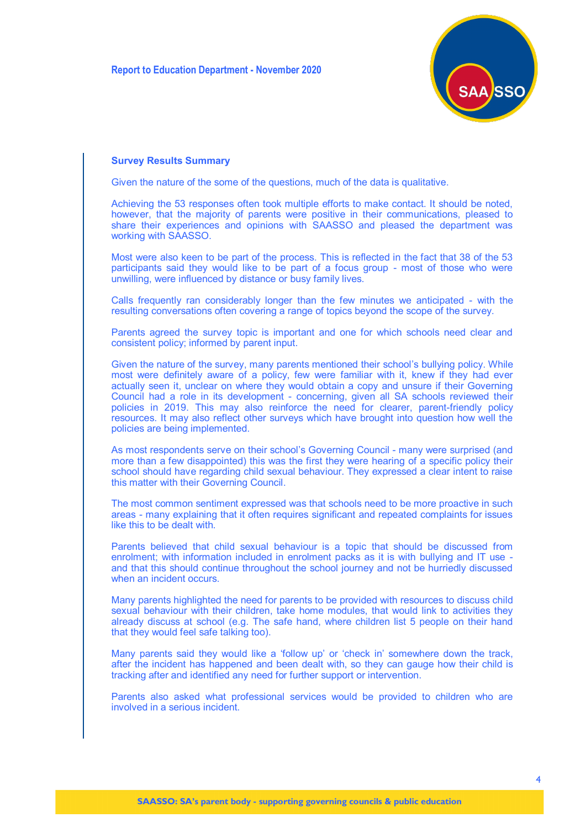

#### **Survey Results Summary**

Given the nature of the some of the questions, much of the data is qualitative.

Achieving the 53 responses often took multiple efforts to make contact. It should be noted, however, that the majority of parents were positive in their communications, pleased to share their experiences and opinions with SAASSO and pleased the department was working with SAASSO.

Most were also keen to be part of the process. This is reflected in the fact that 38 of the 53 participants said they would like to be part of a focus group - most of those who were unwilling, were influenced by distance or busy family lives.

Calls frequently ran considerably longer than the few minutes we anticipated - with the resulting conversations often covering a range of topics beyond the scope of the survey.

Parents agreed the survey topic is important and one for which schools need clear and consistent policy; informed by parent input.

Given the nature of the survey, many parents mentioned their school's bullying policy. While most were definitely aware of a policy, few were familiar with it, knew if they had ever actually seen it, unclear on where they would obtain a copy and unsure if their Governing Council had a role in its development - concerning, given all SA schools reviewed their policies in 2019. This may also reinforce the need for clearer, parent-friendly policy resources. It may also reflect other surveys which have brought into question how well the policies are being implemented.

As most respondents serve on their school's Governing Council - many were surprised (and more than a few disappointed) this was the first they were hearing of a specific policy their school should have regarding child sexual behaviour. They expressed a clear intent to raise this matter with their Governing Council.

The most common sentiment expressed was that schools need to be more proactive in such areas - many explaining that it often requires significant and repeated complaints for issues like this to be dealt with.

Parents believed that child sexual behaviour is a topic that should be discussed from enrolment; with information included in enrolment packs as it is with bullying and IT use and that this should continue throughout the school journey and not be hurriedly discussed when an incident occurs.

Many parents highlighted the need for parents to be provided with resources to discuss child sexual behaviour with their children, take home modules, that would link to activities they already discuss at school (e.g. The safe hand, where children list 5 people on their hand that they would feel safe talking too).

Many parents said they would like a 'follow up' or 'check in' somewhere down the track, after the incident has happened and been dealt with, so they can gauge how their child is tracking after and identified any need for further support or intervention.

Parents also asked what professional services would be provided to children who are involved in a serious incident.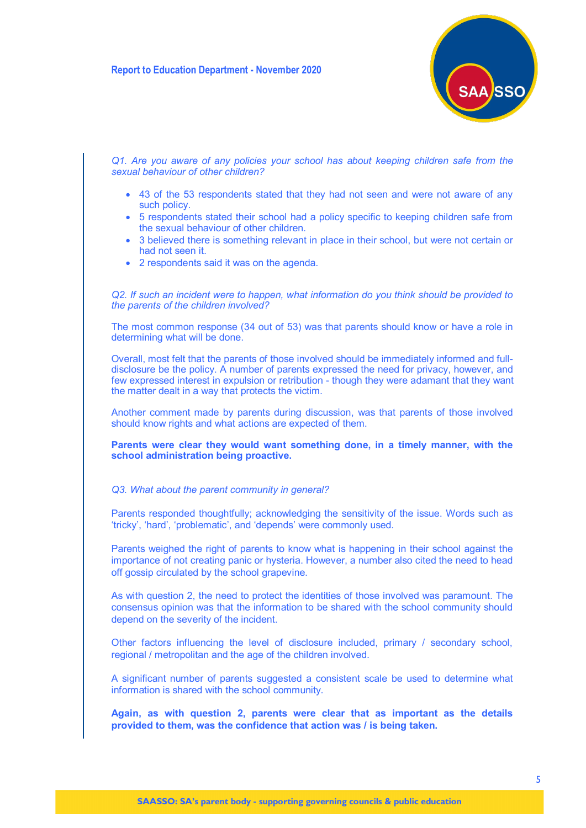

*Q1. Are you aware of any policies your school has about keeping children safe from the sexual behaviour of other children?*

- 43 of the 53 respondents stated that they had not seen and were not aware of any such policy.
- 5 respondents stated their school had a policy specific to keeping children safe from the sexual behaviour of other children.
- 3 believed there is something relevant in place in their school, but were not certain or had not seen it.
- 2 respondents said it was on the agenda.

*Q2. If such an incident were to happen, what information do you think should be provided to the parents of the children involved?*

The most common response (34 out of 53) was that parents should know or have a role in determining what will be done.

Overall, most felt that the parents of those involved should be immediately informed and fulldisclosure be the policy. A number of parents expressed the need for privacy, however, and few expressed interest in expulsion or retribution - though they were adamant that they want the matter dealt in a way that protects the victim.

Another comment made by parents during discussion, was that parents of those involved should know rights and what actions are expected of them.

**Parents were clear they would want something done, in a timely manner, with the school administration being proactive.**

### *Q3. What about the parent community in general?*

Parents responded thoughtfully; acknowledging the sensitivity of the issue. Words such as 'tricky', 'hard', 'problematic', and 'depends' were commonly used.

Parents weighed the right of parents to know what is happening in their school against the importance of not creating panic or hysteria. However, a number also cited the need to head off gossip circulated by the school grapevine.

As with question 2, the need to protect the identities of those involved was paramount. The consensus opinion was that the information to be shared with the school community should depend on the severity of the incident.

Other factors influencing the level of disclosure included, primary / secondary school, regional / metropolitan and the age of the children involved.

A significant number of parents suggested a consistent scale be used to determine what information is shared with the school community.

**Again, as with question 2, parents were clear that as important as the details provided to them, was the confidence that action was / is being taken.**